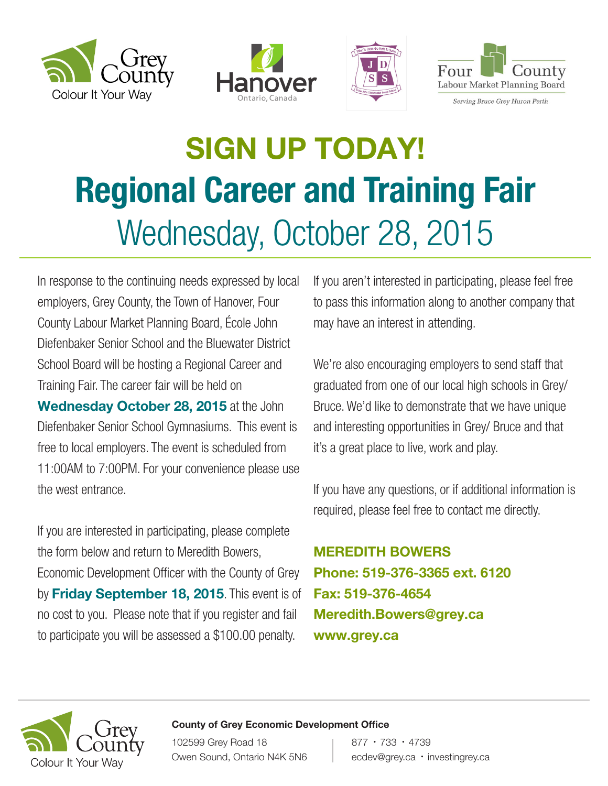







Serving Bruce Grey Huron Perth

# SIGN UP TODAY! Regional Career and Training Fair Wednesday, October 28, 2015

In response to the continuing needs expressed by local employers, Grey County, the Town of Hanover, Four County Labour Market Planning Board, École John Diefenbaker Senior School and the Bluewater District School Board will be hosting a Regional Career and Training Fair. The career fair will be held on Wednesday October 28, 2015 at the John Diefenbaker Senior School Gymnasiums. This event is free to local employers. The event is scheduled from 11:00AM to 7:00PM. For your convenience please use the west entrance.

If you are interested in participating, please complete the form below and return to Meredith Bowers, Economic Development Officer with the County of Grey by Friday September 18, 2015. This event is of no cost to you. Please note that if you register and fail to participate you will be assessed a \$100.00 penalty.

If you aren't interested in participating, please feel free to pass this information along to another company that may have an interest in attending.

We're also encouraging employers to send staff that graduated from one of our local high schools in Grey/ Bruce. We'd like to demonstrate that we have unique and interesting opportunities in Grey/ Bruce and that it's a great place to live, work and play.

If you have any questions, or if additional information is required, please feel free to contact me directly.

MEREDITH BOWERS Phone: 519-376-3365 ext. 6120 Fax: 519-376-4654 Meredith.Bowers@grey.ca www.grey.ca



#### County of Grey Economic Development Office

102599 Grey Road 18 Owen Sound, Ontario N4K 5N6